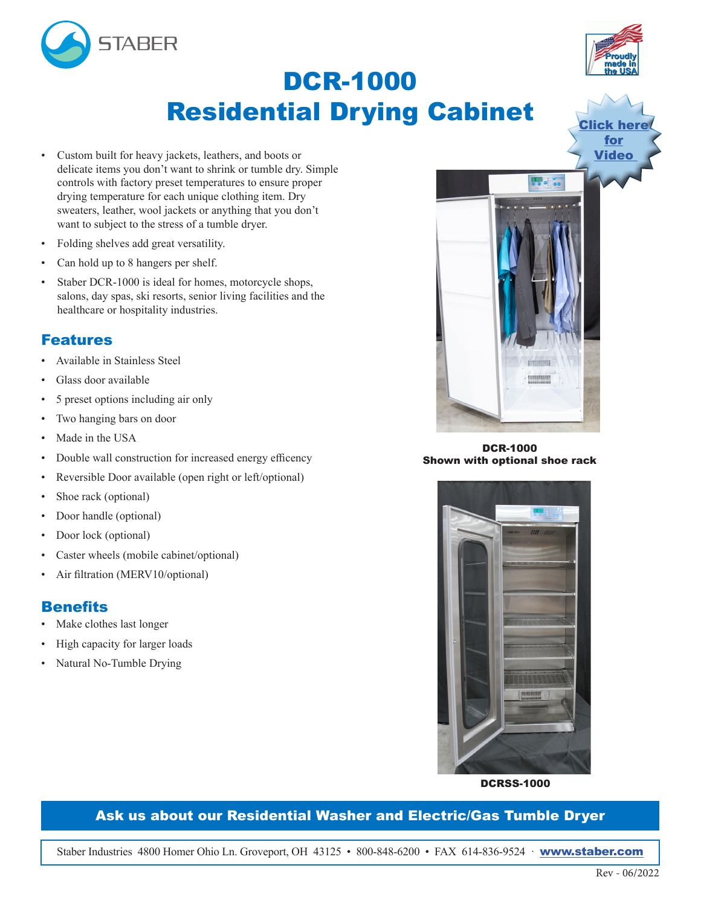



- Custom built for heavy jackets, leathers, and boots or delicate items you don't want to shrink or tumble dry. Simple controls with factory preset temperatures to ensure proper drying temperature for each unique clothing item. Dry sweaters, leather, wool jackets or anything that you don't want to subject to the stress of a tumble dryer.
- Folding shelves add great versatility.
- Can hold up to 8 hangers per shelf.
- Staber DCR-1000 is ideal for homes, motorcycle shops, salons, day spas, ski resorts, senior living facilities and the healthcare or hospitality industries.

#### Features

- Available in Stainless Steel
- Glass door available
- 5 preset options including air only
- Two hanging bars on door
- Made in the USA
- Double wall construction for increased energy efficency
- Reversible Door available (open right or left/optional)
- Shoe rack (optional)
- Door handle (optional)
- Door lock (optional)
- Caster wheels (mobile cabinet/optional)
- Air filtration (MERV10/optional)

#### **Benefits**

- Make clothes last longer
- High capacity for larger loads
- Natural No-Tumble Drying



DCR-1000 Shown with optional shoe rack



DCRSS-1000

#### Ask us about our Residential Washer and Electric/Gas Tumble Dryer

Staber Industries 4800 Homer Ohio Ln. Groveport, OH 43125 • 800-848-6200 • FAX 614-836-9524 · [www.staber.com](http://www.staber.com)



**Click [he](https://drive.google.com/file/d/1X_AQLHZTV39tTB_YoW3lz--PHRzodG7a/view?usp=sharing)re** for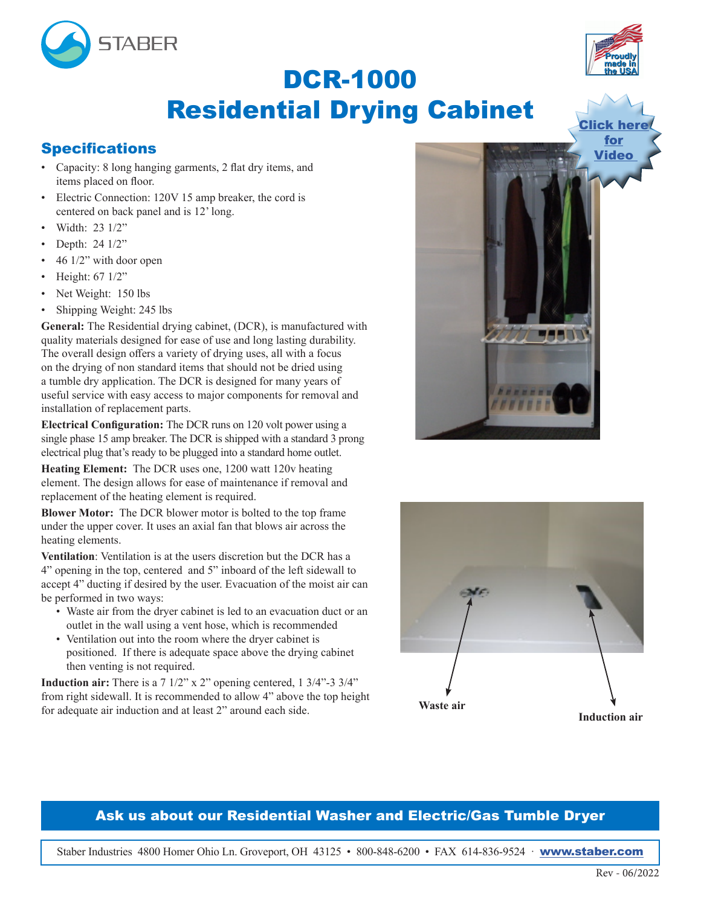



# DCR-1000 Residential Drying Cabinet

### **Specifications**

- Capacity: 8 long hanging garments, 2 flat dry items, and items placed on floor.
- Electric Connection: 120V 15 amp breaker, the cord is centered on back panel and is 12' long.
- Width: 23 1/2"
- Depth: 24 1/2"
- 46 1/2" with door open
- Height: 67 1/2"
- Net Weight: 150 lbs
- Shipping Weight: 245 lbs

**General:** The Residential drying cabinet, (DCR), is manufactured with quality materials designed for ease of use and long lasting durability. The overall design offers a variety of drying uses, all with a focus on the drying of non standard items that should not be dried using a tumble dry application. The DCR is designed for many years of useful service with easy access to major components for removal and installation of replacement parts.

**Electrical Configuration:** The DCR runs on 120 volt power using a single phase 15 amp breaker. The DCR is shipped with a standard 3 prong electrical plug that's ready to be plugged into a standard home outlet.

**Heating Element:** The DCR uses one, 1200 watt 120v heating element. The design allows for ease of maintenance if removal and replacement of the heating element is required.

**Blower Motor:** The DCR blower motor is bolted to the top frame under the upper cover. It uses an axial fan that blows air across the heating elements.

**Ventilation**: Ventilation is at the users discretion but the DCR has a 4" opening in the top, centered and 5" inboard of the left sidewall to accept 4" ducting if desired by the user. Evacuation of the moist air can be performed in two ways:

- Waste air from the dryer cabinet is led to an evacuation duct or an outlet in the wall using a vent hose, which is recommended
- Ventilation out into the room where the dryer cabinet is positioned. If there is adequate space above the drying cabinet then venting is not required.

**Induction air:** There is a 7 1/2" x 2" opening centered, 1 3/4"-3 3/4" from right sidewall. It is recommended to allow 4" above the top height for adequate air induction and at least 2" around each side.





#### Ask us about our Residential Washer and Electric/Gas Tumble Dryer

Staber Industries 4800 Homer Ohio Ln. Groveport, OH 43125 • 800-848-6200 • FAX 614-836-9524 · [www.staber.com](http://www.staber.com)